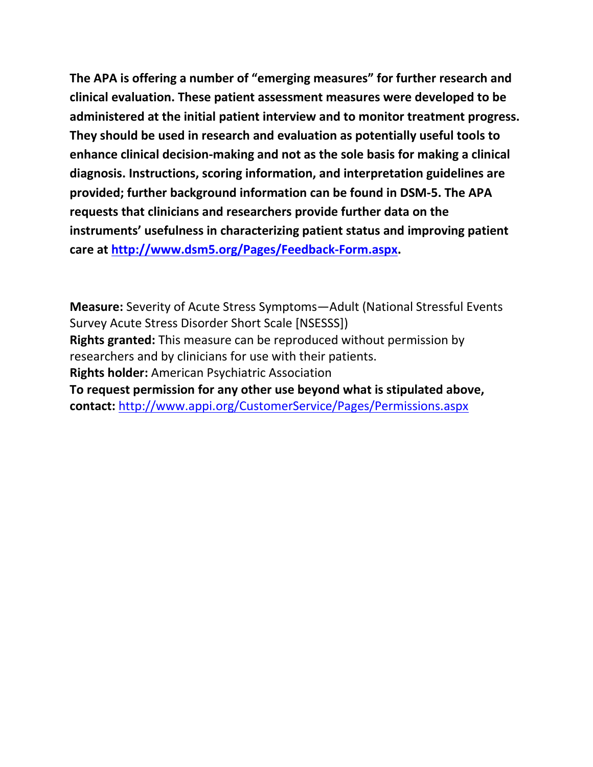**The APA is offering a number of "emerging measures" for further research and clinical evaluation. These patient assessment measures were developed to be administered at the initial patient interview and to monitor treatment progress. They should be used in research and evaluation as potentially useful tools to enhance clinical decision-making and not as the sole basis for making a clinical diagnosis. Instructions, scoring information, and interpretation guidelines are provided; further background information can be found in DSM-5. The APA requests that clinicians and researchers provide further data on the instruments' usefulness in characterizing patient status and improving patient care at [http://www.dsm5.org/Pages/Feedback-Form.aspx.](http://www.dsm5.org/Pages/Feedback-Form.aspx)**

**Measure:** Severity of Acute Stress Symptoms—Adult (National Stressful Events Survey Acute Stress Disorder Short Scale [NSESSS]) **Rights granted:** This measure can be reproduced without permission by researchers and by clinicians for use with their patients. **Rights holder:** American Psychiatric Association **To request permission for any other use beyond what is stipulated above, contact:** <http://www.appi.org/CustomerService/Pages/Permissions.aspx>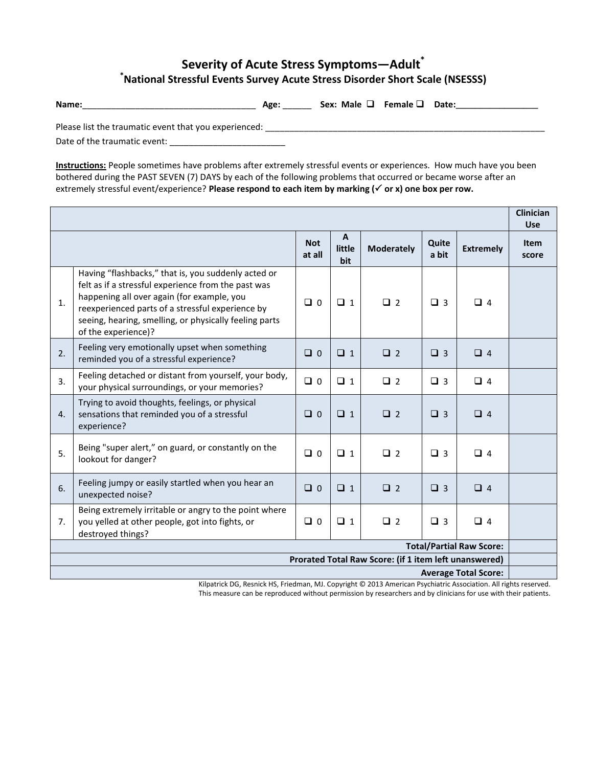## **Severity of Acute Stress Symptoms—Adult\* \*National Stressful Events Survey Acute Stress Disorder Short Scale (NSESSS)**

**Name:**\_\_\_\_\_\_\_\_\_\_\_\_\_\_\_\_\_\_\_\_\_\_\_\_\_\_\_\_\_\_\_\_\_\_\_\_ **Age:** \_\_\_\_\_\_ **Sex: Male Female Date:\_\_\_\_\_\_\_\_\_\_\_\_\_\_\_\_\_**

Please list the traumatic event that you experienced: \_\_\_\_\_\_\_\_\_\_\_\_\_\_\_\_\_\_\_\_\_\_\_\_\_\_\_\_\_\_\_\_\_\_\_\_\_\_\_\_\_\_\_\_\_\_\_\_\_\_\_\_\_\_\_\_\_\_

Date of the traumatic event: \_\_\_\_\_\_\_\_\_\_\_\_\_\_\_\_\_\_\_\_\_\_\_\_

**Instructions:** People sometimes have problems after extremely stressful events or experiences. How much have you been bothered during the PAST SEVEN (7) DAYS by each of the following problems that occurred or became worse after an extremely stressful event/experience? **Please respond to each item by marking ( or x) one box per row.** 

|                                                                                      |                                                                                                                                                                                                                                                                                               |                      |                               |                   |                |                  | <b>Clinician</b><br><b>Use</b> |
|--------------------------------------------------------------------------------------|-----------------------------------------------------------------------------------------------------------------------------------------------------------------------------------------------------------------------------------------------------------------------------------------------|----------------------|-------------------------------|-------------------|----------------|------------------|--------------------------------|
|                                                                                      |                                                                                                                                                                                                                                                                                               | <b>Not</b><br>at all | $\mathbf{A}$<br>little<br>bit | <b>Moderately</b> | Quite<br>a bit | <b>Extremely</b> | <b>Item</b><br>score           |
| 1.                                                                                   | Having "flashbacks," that is, you suddenly acted or<br>felt as if a stressful experience from the past was<br>happening all over again (for example, you<br>reexperienced parts of a stressful experience by<br>seeing, hearing, smelling, or physically feeling parts<br>of the experience)? | $\Box$ 0             | $\Box$ 1                      | $\Box$ 2          | $\Box$ 3       | $\Box$ 4         |                                |
| 2.                                                                                   | Feeling very emotionally upset when something<br>reminded you of a stressful experience?                                                                                                                                                                                                      | $\Box$ 0             | $\Box$ 1                      | $\Box$ 2          | $\Box$ 3       | $\Box$ 4         |                                |
| 3.                                                                                   | Feeling detached or distant from yourself, your body,<br>your physical surroundings, or your memories?                                                                                                                                                                                        | $\Box$ 0             | $\Box$ 1                      | $\Box$ 2          | $\Box$ 3       | $\Box$ 4         |                                |
| $\overline{4}$ .                                                                     | Trying to avoid thoughts, feelings, or physical<br>sensations that reminded you of a stressful<br>experience?                                                                                                                                                                                 | $\Box$ 0             | $\Box$ 1                      | $\Box$ 2          | $\Box$ 3       | $\Box$ 4         |                                |
| 5.                                                                                   | Being "super alert," on guard, or constantly on the<br>lookout for danger?                                                                                                                                                                                                                    | $\Box$ 0             | $\Box$ 1                      | $\Box$ 2          | $\Box$ 3       | $\Box$ 4         |                                |
| 6.                                                                                   | Feeling jumpy or easily startled when you hear an<br>unexpected noise?                                                                                                                                                                                                                        | $\Box$ 0             | $\Box$ 1                      | $\Box$ 2          | $\Box$ 3       | $\Box$ 4         |                                |
| 7.                                                                                   | Being extremely irritable or angry to the point where<br>you yelled at other people, got into fights, or<br>destroyed things?                                                                                                                                                                 | $\Box$ 0             | $\Box$ 1                      | $\Box$ 2          | $\Box$ 3       | $\Box$ 4         |                                |
| <b>Total/Partial Raw Score:</b>                                                      |                                                                                                                                                                                                                                                                                               |                      |                               |                   |                |                  |                                |
| Prorated Total Raw Score: (if 1 item left unanswered)<br><b>Average Total Score:</b> |                                                                                                                                                                                                                                                                                               |                      |                               |                   |                |                  |                                |
|                                                                                      |                                                                                                                                                                                                                                                                                               |                      |                               |                   |                |                  |                                |

Kilpatrick DG, Resnick HS, Friedman, MJ. Copyright © 2013 American Psychiatric Association. All rights reserved. This measure can be reproduced without permission by researchers and by clinicians for use with their patients.